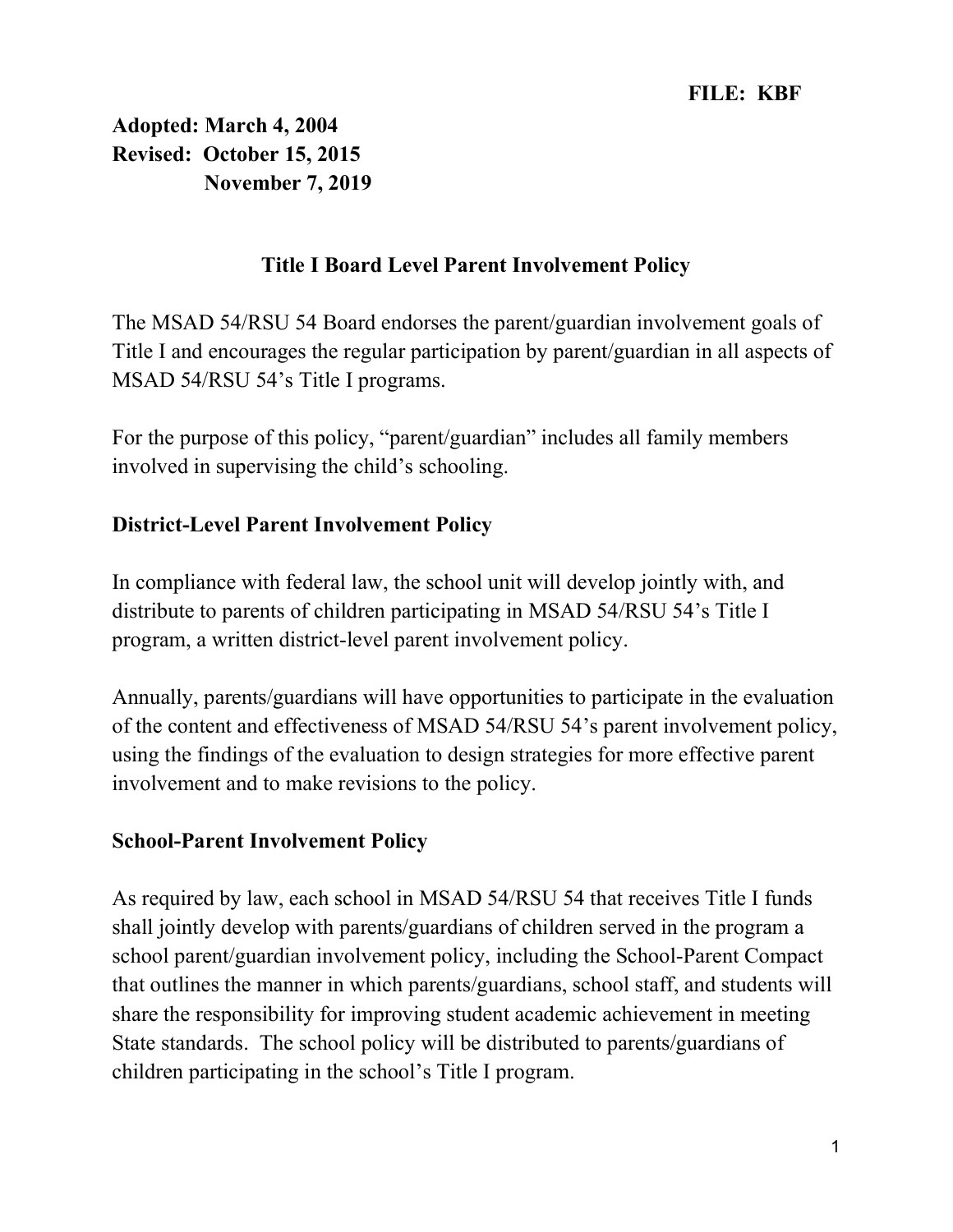Adopted: March 4, 2004 Revised: October 15, 2015 November 7, 2019

## Title I Board Level Parent Involvement Policy

The MSAD 54/RSU 54 Board endorses the parent/guardian involvement goals of Title I and encourages the regular participation by parent/guardian in all aspects of MSAD 54/RSU 54's Title I programs.

For the purpose of this policy, "parent/guardian" includes all family members involved in supervising the child's schooling.

## District-Level Parent Involvement Policy

In compliance with federal law, the school unit will develop jointly with, and distribute to parents of children participating in MSAD 54/RSU 54's Title I program, a written district-level parent involvement policy.

Annually, parents/guardians will have opportunities to participate in the evaluation of the content and effectiveness of MSAD 54/RSU 54's parent involvement policy, using the findings of the evaluation to design strategies for more effective parent involvement and to make revisions to the policy.

#### School-Parent Involvement Policy

As required by law, each school in MSAD 54/RSU 54 that receives Title I funds shall jointly develop with parents/guardians of children served in the program a school parent/guardian involvement policy, including the School-Parent Compact that outlines the manner in which parents/guardians, school staff, and students will share the responsibility for improving student academic achievement in meeting State standards. The school policy will be distributed to parents/guardians of children participating in the school's Title I program.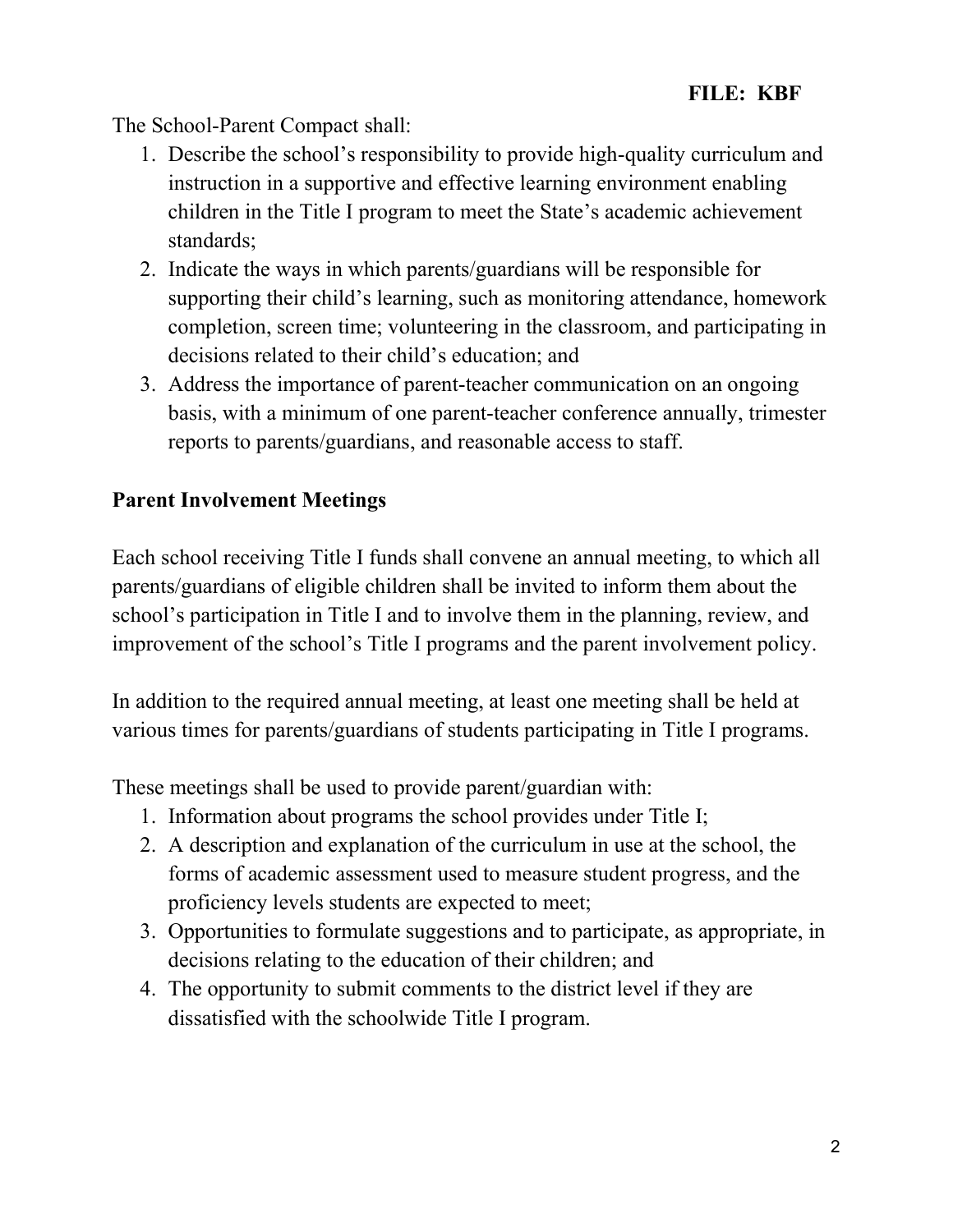The School-Parent Compact shall:

- 1. Describe the school's responsibility to provide high-quality curriculum and instruction in a supportive and effective learning environment enabling children in the Title I program to meet the State's academic achievement standards;
- 2. Indicate the ways in which parents/guardians will be responsible for supporting their child's learning, such as monitoring attendance, homework completion, screen time; volunteering in the classroom, and participating in decisions related to their child's education; and
- 3. Address the importance of parent-teacher communication on an ongoing basis, with a minimum of one parent-teacher conference annually, trimester reports to parents/guardians, and reasonable access to staff.

# Parent Involvement Meetings

Each school receiving Title I funds shall convene an annual meeting, to which all parents/guardians of eligible children shall be invited to inform them about the school's participation in Title I and to involve them in the planning, review, and improvement of the school's Title I programs and the parent involvement policy.

In addition to the required annual meeting, at least one meeting shall be held at various times for parents/guardians of students participating in Title I programs.

These meetings shall be used to provide parent/guardian with:

- 1. Information about programs the school provides under Title I;
- 2. A description and explanation of the curriculum in use at the school, the forms of academic assessment used to measure student progress, and the proficiency levels students are expected to meet;
- 3. Opportunities to formulate suggestions and to participate, as appropriate, in decisions relating to the education of their children; and
- 4. The opportunity to submit comments to the district level if they are dissatisfied with the schoolwide Title I program.